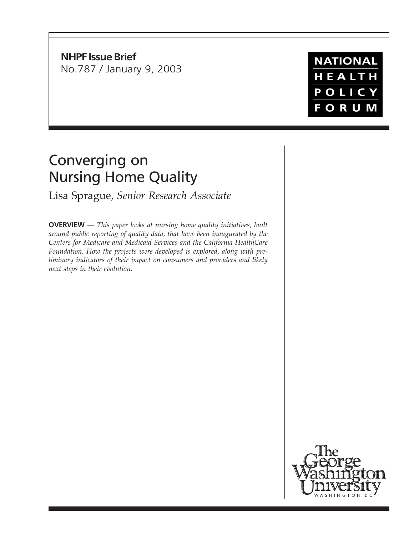**NHPF Issue Brief** No.787 / January 9, 2003

# Converging on Nursing Home Quality

Lisa Sprague, *Senior Research Associate*

**OVERVIEW** *— This paper looks at nursing home quality initiatives, built around public reporting of quality data, that have been inaugurated by the Centers for Medicare and Medicaid Services and the California HealthCare Foundation. How the projects were developed is explored, along with preliminary indicators of their impact on consumers and providers and likely next steps in their evolution.*



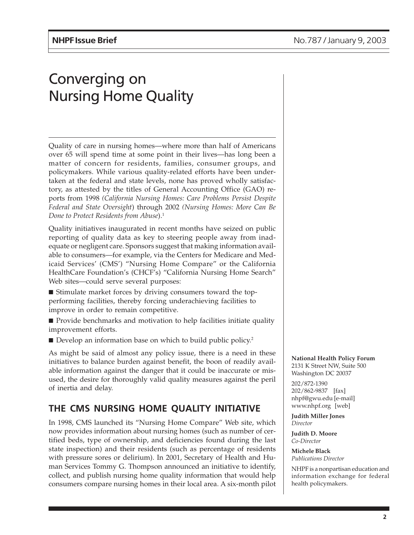# Converging on Nursing Home Quality

Quality of care in nursing homes—where more than half of Americans over 65 will spend time at some point in their lives—has long been a matter of concern for residents, families, consumer groups, and policymakers. While various quality-related efforts have been undertaken at the federal and state levels, none has proved wholly satisfactory, as attested by the titles of General Accounting Office (GAO) reports from 1998 *(California Nursing Homes: Care Problems Persist Despite Federal and State Oversight*) through 2002 *(Nursing Homes: More Can Be Done to Protect Residents from Abuse*).1

Quality initiatives inaugurated in recent months have seized on public reporting of quality data as key to steering people away from inadequate or negligent care. Sponsors suggest that making information available to consumers—for example, via the Centers for Medicare and Medicaid Services' (CMS') "Nursing Home Compare" or the California HealthCare Foundation's (CHCF's) "California Nursing Home Search" Web sites—could serve several purposes:

■ Stimulate market forces by driving consumers toward the topperforming facilities, thereby forcing underachieving facilities to improve in order to remain competitive.

- Provide benchmarks and motivation to help facilities initiate quality improvement efforts.
- Develop an information base on which to build public policy.<sup>2</sup>

As might be said of almost any policy issue, there is a need in these initiatives to balance burden against benefit, the boon of readily available information against the danger that it could be inaccurate or misused, the desire for thoroughly valid quality measures against the peril of inertia and delay.

## **THE CMS NURSING HOME QUALITY INITIATIVE**

In 1998, CMS launched its "Nursing Home Compare" Web site, which now provides information about nursing homes (such as number of certified beds, type of ownership, and deficiencies found during the last state inspection) and their residents (such as percentage of residents with pressure sores or delirium). In 2001, Secretary of Health and Human Services Tommy G. Thompson announced an initiative to identify, collect, and publish nursing home quality information that would help consumers compare nursing homes in their local area. A six-month pilot **National Health Policy Forum** 2131 K Street NW, Suite 500 Washington DC 20037

202/872-1390 202/862-9837 [fax] nhpf@gwu.edu [e-mail] www.nhpf.org [web]

**Judith Miller Jones** *Director*

**Judith D. Moore** *Co-Director*

**Michele Black** *Publications Director*

NHPF is a nonpartisan education and information exchange for federal health policymakers.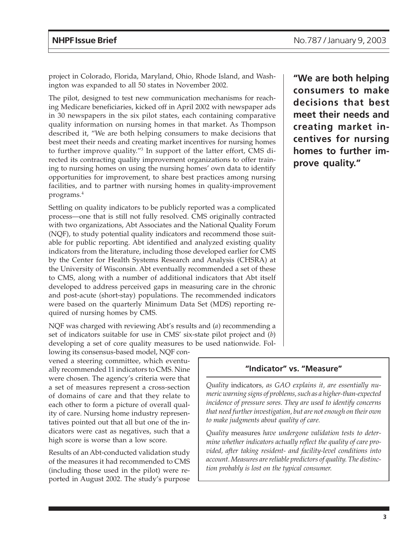project in Colorado, Florida, Maryland, Ohio, Rhode Island, and Washington was expanded to all 50 states in November 2002.

The pilot, designed to test new communication mechanisms for reaching Medicare beneficiaries, kicked off in April 2002 with newspaper ads in 30 newspapers in the six pilot states, each containing comparative quality information on nursing homes in that market. As Thompson described it, "We are both helping consumers to make decisions that best meet their needs and creating market incentives for nursing homes to further improve quality."3 In support of the latter effort, CMS directed its contracting quality improvement organizations to offer training to nursing homes on using the nursing homes' own data to identify opportunities for improvement, to share best practices among nursing facilities, and to partner with nursing homes in quality-improvement programs.4

Settling on quality indicators to be publicly reported was a complicated process—one that is still not fully resolved. CMS originally contracted with two organizations, Abt Associates and the National Quality Forum (NQF), to study potential quality indicators and recommend those suitable for public reporting. Abt identified and analyzed existing quality indicators from the literature, including those developed earlier for CMS by the Center for Health Systems Research and Analysis (CHSRA) at the University of Wisconsin. Abt eventually recommended a set of these to CMS, along with a number of additional indicators that Abt itself developed to address perceived gaps in measuring care in the chronic and post-acute (short-stay) populations. The recommended indicators were based on the quarterly Minimum Data Set (MDS) reporting required of nursing homes by CMS.

NQF was charged with reviewing Abt's results and (*a*) recommending a set of indicators suitable for use in CMS' six-state pilot project and (*b*) developing a set of core quality measures to be used nationwide. Fol-

lowing its consensus-based model, NQF convened a steering committee, which eventually recommended 11 indicators to CMS. Nine were chosen. The agency's criteria were that a set of measures represent a cross-section of domains of care and that they relate to each other to form a picture of overall quality of care. Nursing home industry representatives pointed out that all but one of the indicators were cast as negatives, such that a high score is worse than a low score.

Results of an Abt-conducted validation study of the measures it had recommended to CMS (including those used in the pilot) were reported in August 2002. The study's purpose

**"We are both helping consumers to make decisions that best meet their needs and creating market incentives for nursing homes to further improve quality."**

#### **"Indicator" vs. "Measure"**

*Quality* indicators*, as GAO explains it, are essentially numeric warning signs of problems, such as a higher-than-expected incidence of pressure sores. They are used to identify concerns that need further investigation, but are not enough on their own to make judgments about quality of care.*

*Quality* measures *have undergone validation tests to determine whether indicators actually reflect the quality of care provided, after taking resident- and facility-level conditions into account. Measures are reliable predictors of quality. The distinction probably is lost on the typical consumer.*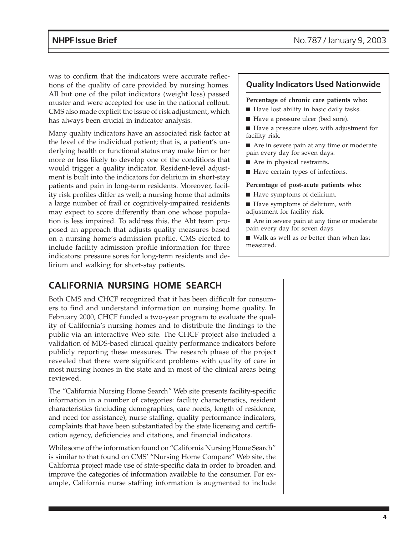was to confirm that the indicators were accurate reflections of the quality of care provided by nursing homes. All but one of the pilot indicators (weight loss) passed muster and were accepted for use in the national rollout. CMS also made explicit the issue of risk adjustment, which has always been crucial in indicator analysis.

Many quality indicators have an associated risk factor at the level of the individual patient; that is, a patient's underlying health or functional status may make him or her more or less likely to develop one of the conditions that would trigger a quality indicator. Resident-level adjustment is built into the indicators for delirium in short-stay patients and pain in long-term residents. Moreover, facility risk profiles differ as well; a nursing home that admits a large number of frail or cognitively-impaired residents may expect to score differently than one whose population is less impaired. To address this, the Abt team proposed an approach that adjusts quality measures based on a nursing home's admission profile. CMS elected to include facility admission profile information for three indicators: pressure sores for long-term residents and delirium and walking for short-stay patients.

### **Quality Indicators Used Nationwide**

#### **Percentage of chronic care patients who:**

- Have lost ability in basic daily tasks.
- Have a pressure ulcer (bed sore).
- Have a pressure ulcer, with adjustment for facility risk.

■ Are in severe pain at any time or moderate pain every day for seven days.

- Are in physical restraints.
- Have certain types of infections.

#### **Percentage of post-acute patients who:**

- Have symptoms of delirium.
- Have symptoms of delirium, with adjustment for facility risk.

■ Are in severe pain at any time or moderate pain every day for seven days.

■ Walk as well as or better than when last measured.

## **CALIFORNIA NURSING HOME SEARCH**

Both CMS and CHCF recognized that it has been difficult for consumers to find and understand information on nursing home quality. In February 2000, CHCF funded a two-year program to evaluate the quality of California's nursing homes and to distribute the findings to the public via an interactive Web site. The CHCF project also included a validation of MDS-based clinical quality performance indicators before publicly reporting these measures. The research phase of the project revealed that there were significant problems with quality of care in most nursing homes in the state and in most of the clinical areas being reviewed.

The "California Nursing Home Search*"* Web site presents facility-specific information in a number of categories: facility characteristics, resident characteristics (including demographics, care needs, length of residence, and need for assistance), nurse staffing, quality performance indicators, complaints that have been substantiated by the state licensing and certification agency, deficiencies and citations, and financial indicators.

While some of the information found on "California Nursing Home Search*"* is similar to that found on CMS' "Nursing Home Compare" Web site, the California project made use of state-specific data in order to broaden and improve the categories of information available to the consumer. For example, California nurse staffing information is augmented to include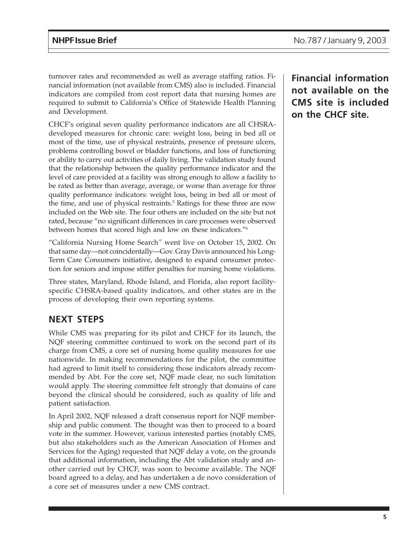turnover rates and recommended as well as average staffing ratios. Financial information (not available from CMS) also is included. Financial indicators are compiled from cost report data that nursing homes are required to submit to California's Office of Statewide Health Planning and Development.

CHCF's original seven quality performance indicators are all CHSRAdeveloped measures for chronic care: weight loss, being in bed all or most of the time, use of physical restraints, presence of pressure ulcers, problems controlling bowel or bladder functions, and loss of functioning or ability to carry out activities of daily living. The validation study found that the relationship between the quality performance indicator and the level of care provided at a facility was strong enough to allow a facility to be rated as better than average, average, or worse than average for three quality performance indicators: weight loss, being in bed all or most of the time, and use of physical restraints.<sup>5</sup> Ratings for these three are now included on the Web site. The four others are included on the site but not rated, because "no significant differences in care processes were observed between homes that scored high and low on these indicators."6

"California Nursing Home Search*"* went live on October 15, 2002. On that same day—not coincidentally—Gov. Gray Davis announced his Long-Term Care Consumers initiative, designed to expand consumer protection for seniors and impose stiffer penalties for nursing home violations.

Three states, Maryland, Rhode Island, and Florida, also report facilityspecific CHSRA-based quality indicators, and other states are in the process of developing their own reporting systems.

## **NEXT STEPS**

While CMS was preparing for its pilot and CHCF for its launch, the NQF steering committee continued to work on the second part of its charge from CMS, a core set of nursing home quality measures for use nationwide. In making recommendations for the pilot, the committee had agreed to limit itself to considering those indicators already recommended by Abt. For the core set, NQF made clear, no such limitation would apply. The steering committee felt strongly that domains of care beyond the clinical should be considered, such as quality of life and patient satisfaction.

In April 2002, NQF released a draft consensus report for NQF membership and public comment. The thought was then to proceed to a board vote in the summer. However, various interested parties (notably CMS, but also stakeholders such as the American Association of Homes and Services for the Aging) requested that NQF delay a vote, on the grounds that additional information, including the Abt validation study and another carried out by CHCF, was soon to become available. The NQF board agreed to a delay, and has undertaken a de novo consideration of a core set of measures under a new CMS contract.

**Financial information not available on the CMS site is included on the CHCF site.**